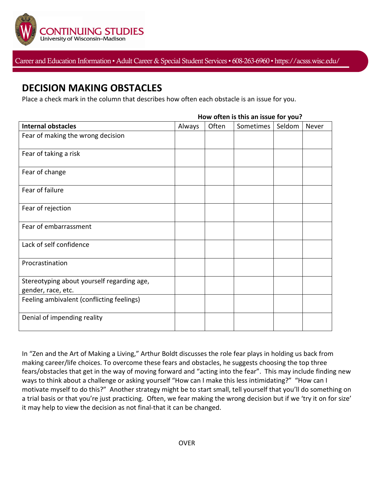

Career and Education Information • Adult Career & Special Student Services• 608-263-6960 • https://acsss.wisc.edu/

## **DECISION MAKING OBSTACLES**

Place a check mark in the column that describes how often each obstacle is an issue for you.

|                                                                  | How often is this an issue for you? |       |           |        |       |
|------------------------------------------------------------------|-------------------------------------|-------|-----------|--------|-------|
| <b>Internal obstacles</b>                                        | Always                              | Often | Sometimes | Seldom | Never |
| Fear of making the wrong decision                                |                                     |       |           |        |       |
| Fear of taking a risk                                            |                                     |       |           |        |       |
| Fear of change                                                   |                                     |       |           |        |       |
| Fear of failure                                                  |                                     |       |           |        |       |
| Fear of rejection                                                |                                     |       |           |        |       |
| Fear of embarrassment                                            |                                     |       |           |        |       |
| Lack of self confidence                                          |                                     |       |           |        |       |
| Procrastination                                                  |                                     |       |           |        |       |
| Stereotyping about yourself regarding age,<br>gender, race, etc. |                                     |       |           |        |       |
| Feeling ambivalent (conflicting feelings)                        |                                     |       |           |        |       |
| Denial of impending reality                                      |                                     |       |           |        |       |

## **How often is this an issue for you?**

In "Zen and the Art of Making a Living," Arthur Boldt discusses the role fear plays in holding us back from making career/life choices. To overcome these fears and obstacles, he suggests choosing the top three fears/obstacles that get in the way of moving forward and "acting into the fear". This may include finding new ways to think about a challenge or asking yourself "How can I make this less intimidating?" "How can I motivate myself to do this?" Another strategy might be to start small, tell yourself that you'll do something on a trial basis or that you're just practicing. Often, we fear making the wrong decision but if we 'try it on for size' it may help to view the decision as not final-that it can be changed.